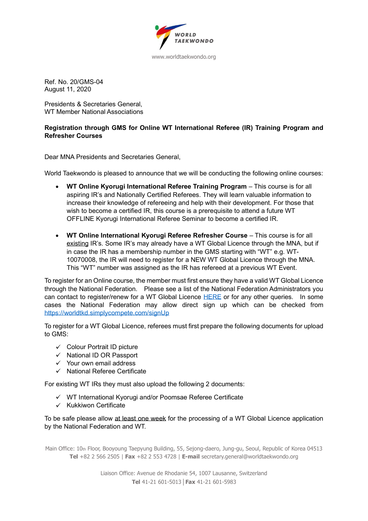

www.worldtaekwondo.org

Ref. No. 20/GMS-04 August 11, 2020

Presidents & Secretaries General, WT Member National Associations

## **Registration through GMS for Online WT International Referee (IR) Training Program and Refresher Courses**

Dear MNA Presidents and Secretaries General,

World Taekwondo is pleased to announce that we will be conducting the following online courses:

- **WT Online Kyorugi International Referee Training Program** This course is for all aspiring IR's and Nationally Certified Referees. They will learn valuable information to increase their knowledge of refereeing and help with their development. For those that wish to become a certified IR, this course is a prerequisite to attend a future WT OFFLINE Kyorugi International Referee Seminar to become a certified IR.
- **WT Online International Kyorugi Referee Refresher Course** This course is for all existing IR's. Some IR's may already have a WT Global Licence through the MNA, but if in case the IR has a membership number in the GMS starting with "WT" e.g. WT-10070008, the IR will need to register for a NEW WT Global Licence through the MNA. This "WT" number was assigned as the IR has refereed at a previous WT Event.

To register for an Online course, the member must first ensure they have a valid WT Global Licence through the National Federation. Please see a list of the National Federation Administrators you can contact to register/renew for a WT Global Licence [HERE](https://worldtkd.simplycompete.com/s/11e6eef4-2284-ad29-92b4-12f817a4f090?pageId=11e9ffab-1cef-d18f-8976-06a8421dab64) or for any other queries. In some cases the National Federation may allow direct sign up which can be checked from <https://worldtkd.simplycompete.com/signUp>

To register for a WT Global Licence, referees must first prepare the following documents for upload to GMS:

- $\checkmark$  Colour Portrait ID picture
- $\checkmark$  National ID OR Passport
- $\checkmark$  Your own email address
- $\checkmark$  National Referee Certificate

For existing WT IRs they must also upload the following 2 documents:

- $\checkmark$  WT International Kyorugi and/or Poomsae Referee Certificate
- $\checkmark$  Kukkiwon Certificate

To be safe please allow at least one week for the processing of a WT Global Licence application by the National Federation and WT.

Main Office: 10th Floor, Booyoung Taepyung Building, 55, Sejong-daero, Jung-gu, Seoul, Republic of Korea 04513 **Tel** +82 2 566 2505 | **Fax** +82 2 553 4728 | **E-mail** secretary.general@worldtaekwondo.org

> Liaison Office: Avenue de Rhodanie 54, 1007 Lausanne, Switzerland **Tel** 41-21 601-5013│**Fax** 41-21 601-5983